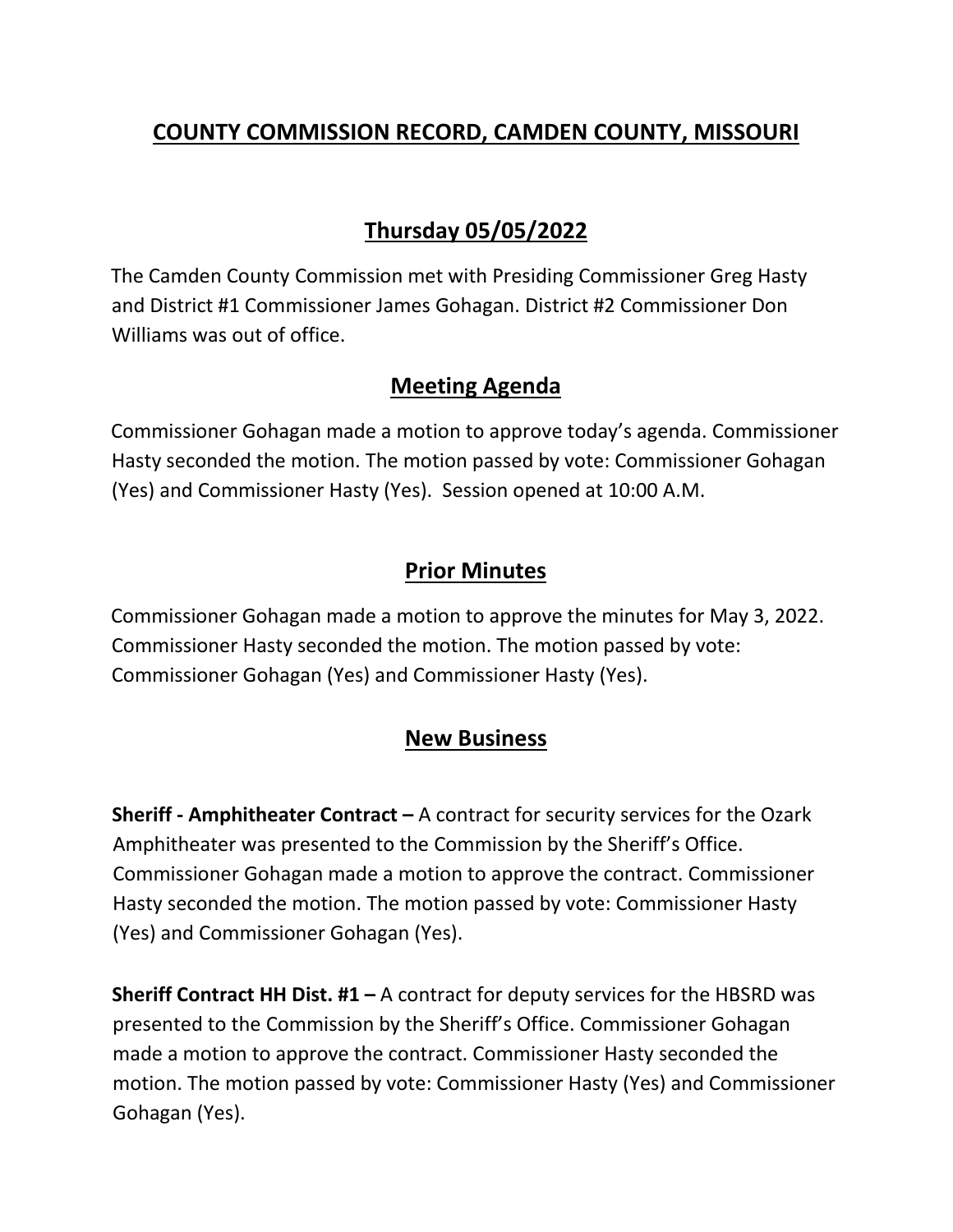# **COUNTY COMMISSION RECORD, CAMDEN COUNTY, MISSOURI**

# **Thursday 05/05/2022**

The Camden County Commission met with Presiding Commissioner Greg Hasty and District #1 Commissioner James Gohagan. District #2 Commissioner Don Williams was out of office.

#### **Meeting Agenda**

Commissioner Gohagan made a motion to approve today's agenda. Commissioner Hasty seconded the motion. The motion passed by vote: Commissioner Gohagan (Yes) and Commissioner Hasty (Yes). Session opened at 10:00 A.M.

## **Prior Minutes**

Commissioner Gohagan made a motion to approve the minutes for May 3, 2022. Commissioner Hasty seconded the motion. The motion passed by vote: Commissioner Gohagan (Yes) and Commissioner Hasty (Yes).

## **New Business**

**Sheriff - Amphitheater Contract –** A contract for security services for the Ozark Amphitheater was presented to the Commission by the Sheriff's Office. Commissioner Gohagan made a motion to approve the contract. Commissioner Hasty seconded the motion. The motion passed by vote: Commissioner Hasty (Yes) and Commissioner Gohagan (Yes).

**Sheriff Contract HH Dist. #1 –** A contract for deputy services for the HBSRD was presented to the Commission by the Sheriff's Office. Commissioner Gohagan made a motion to approve the contract. Commissioner Hasty seconded the motion. The motion passed by vote: Commissioner Hasty (Yes) and Commissioner Gohagan (Yes).